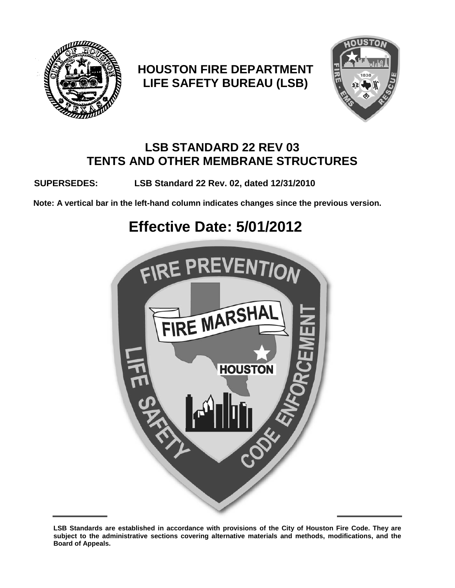

## **HOUSTON FIRE DEPARTMENT LIFE SAFETY BUREAU (LSB)**



### **LSB STANDARD 22 REV 03 TENTS AND OTHER MEMBRANE STRUCTURES**

**SUPERSEDES: LSB Standard 22 Rev. 02, dated 12/31/2010**

**Note: A vertical bar in the left-hand column indicates changes since the previous version.**

# **Effective Date: 5/01/2012**



**LSB Standards are established in accordance with provisions of the City of Houston Fire Code. They are subject to the administrative sections covering alternative materials and methods, modifications, and the Board of Appeals.**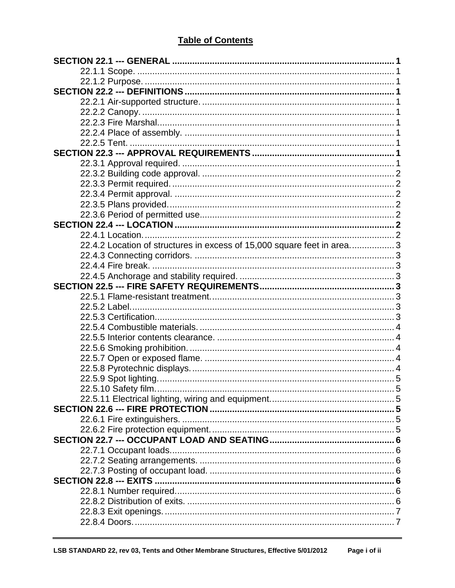#### **Table of Contents**

| 22.4.2 Location of structures in excess of 15,000 square feet in area 3 |  |
|-------------------------------------------------------------------------|--|
|                                                                         |  |
|                                                                         |  |
|                                                                         |  |
|                                                                         |  |
|                                                                         |  |
|                                                                         |  |
|                                                                         |  |
|                                                                         |  |
|                                                                         |  |
|                                                                         |  |
|                                                                         |  |
|                                                                         |  |
|                                                                         |  |
|                                                                         |  |
|                                                                         |  |
|                                                                         |  |
|                                                                         |  |
|                                                                         |  |
|                                                                         |  |
|                                                                         |  |
|                                                                         |  |
|                                                                         |  |
|                                                                         |  |
|                                                                         |  |
|                                                                         |  |
|                                                                         |  |
|                                                                         |  |
|                                                                         |  |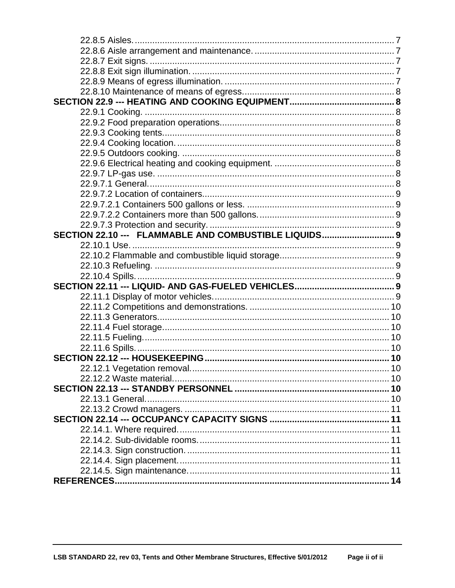| SECTION 22.10 --- FLAMMABLE AND COMBUSTIBLE LIQUIDS 9 |  |
|-------------------------------------------------------|--|
|                                                       |  |
|                                                       |  |
|                                                       |  |
|                                                       |  |
|                                                       |  |
|                                                       |  |
|                                                       |  |
|                                                       |  |
|                                                       |  |
|                                                       |  |
|                                                       |  |
|                                                       |  |
|                                                       |  |
|                                                       |  |
|                                                       |  |
|                                                       |  |
|                                                       |  |
|                                                       |  |
|                                                       |  |
|                                                       |  |
|                                                       |  |
|                                                       |  |
|                                                       |  |
|                                                       |  |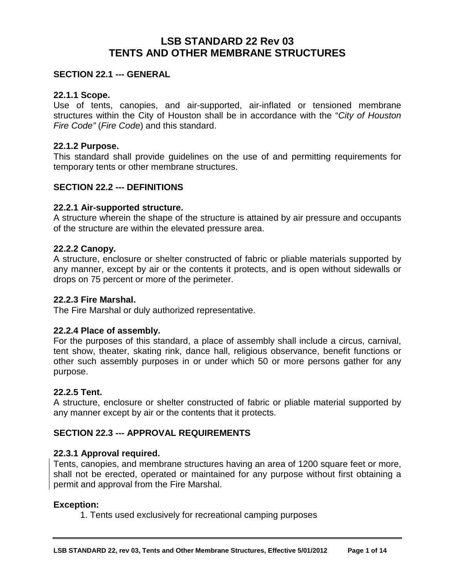#### **LSB STANDARD 22 Rev 03 TENTS AND OTHER MEMBRANE STRUCTURES**

#### <span id="page-3-0"></span>**SECTION 22.1 --- GENERAL**

#### <span id="page-3-1"></span>**22.1.1 Scope.**

Use of tents, canopies, and air-supported, air-inflated or tensioned membrane structures within the City of Houston shall be in accordance with the "*City of Houston Fire Code"* (*Fire Code*) and this standard.

#### <span id="page-3-2"></span>**22.1.2 Purpose.**

This standard shall provide guidelines on the use of and permitting requirements for temporary tents or other membrane structures.

#### <span id="page-3-3"></span>**SECTION 22.2 --- DEFINITIONS**

#### <span id="page-3-4"></span>**22.2.1 Air-supported structure.**

A structure wherein the shape of the structure is attained by air pressure and occupants of the structure are within the elevated pressure area.

#### <span id="page-3-5"></span>**22.2.2 Canopy.**

A structure, enclosure or shelter constructed of fabric or pliable materials supported by any manner, except by air or the contents it protects, and is open without sidewalls or drops on 75 percent or more of the perimeter.

#### <span id="page-3-6"></span>**22.2.3 Fire Marshal.**

The Fire Marshal or duly authorized representative.

#### <span id="page-3-7"></span>**22.2.4 Place of assembly.**

For the purposes of this standard, a place of assembly shall include a circus, carnival, tent show, theater, skating rink, dance hall, religious observance, benefit functions or other such assembly purposes in or under which 50 or more persons gather for any purpose.

#### <span id="page-3-8"></span>**22.2.5 Tent.**

A structure, enclosure or shelter constructed of fabric or pliable material supported by any manner except by air or the contents that it protects.

#### <span id="page-3-9"></span>**SECTION 22.3 --- APPROVAL REQUIREMENTS**

#### <span id="page-3-10"></span>**22.3.1 Approval required.**

Tents, canopies, and membrane structures having an area of 1200 square feet or more, shall not be erected, operated or maintained for any purpose without first obtaining a permit and approval from the Fire Marshal.

#### **Exception:**

1. Tents used exclusively for recreational camping purposes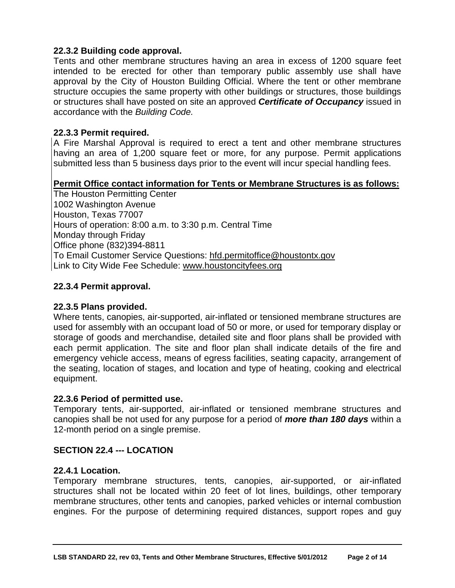#### <span id="page-4-0"></span>**22.3.2 Building code approval.**

Tents and other membrane structures having an area in excess of 1200 square feet intended to be erected for other than temporary public assembly use shall have approval by the City of Houston Building Official. Where the tent or other membrane structure occupies the same property with other buildings or structures, those buildings or structures shall have posted on site an approved *Certificate of Occupancy* issued in accordance with the *Building Code.*

#### <span id="page-4-1"></span>**22.3.3 Permit required.**

A Fire Marshal Approval is required to erect a tent and other membrane structures having an area of 1,200 square feet or more, for any purpose. Permit applications submitted less than 5 business days prior to the event will incur special handling fees.

#### **Permit Office contact information for Tents or Membrane Structures is as follows:**

The Houston Permitting Center 1002 Washington Avenue Houston, Texas 77007 Hours of operation: 8:00 a.m. to 3:30 p.m. Central Time Monday through Friday Office phone (832)394-8811 To Email Customer Service Questions: [hfd.permitoffice@houstontx.gov](mailto:hfd.permitoffice@houstontx.gov) Link to City Wide Fee Schedule: [www.houstoncityfees.org](http://www.houstoncityfees.org/)

#### <span id="page-4-2"></span>**22.3.4 Permit approval.**

#### <span id="page-4-3"></span>**22.3.5 Plans provided.**

Where tents, canopies, air-supported, air-inflated or tensioned membrane structures are used for assembly with an occupant load of 50 or more, or used for temporary display or storage of goods and merchandise, detailed site and floor plans shall be provided with each permit application. The site and floor plan shall indicate details of the fire and emergency vehicle access, means of egress facilities, seating capacity, arrangement of the seating, location of stages, and location and type of heating, cooking and electrical equipment.

#### <span id="page-4-4"></span>**22.3.6 Period of permitted use.**

Temporary tents, air-supported, air-inflated or tensioned membrane structures and canopies shall be not used for any purpose for a period of *more than 180 days* within a 12-month period on a single premise.

#### <span id="page-4-5"></span>**SECTION 22.4 --- LOCATION**

#### <span id="page-4-6"></span>**22.4.1 Location.**

Temporary membrane structures, tents, canopies, air-supported, or air-inflated structures shall not be located within 20 feet of lot lines, buildings, other temporary membrane structures, other tents and canopies, parked vehicles or internal combustion engines. For the purpose of determining required distances, support ropes and guy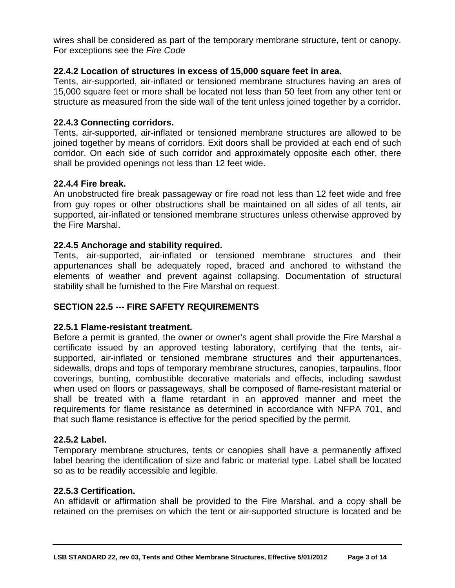wires shall be considered as part of the temporary membrane structure, tent or canopy. For exceptions see the *Fire Code*

#### <span id="page-5-0"></span>**22.4.2 Location of structures in excess of 15,000 square feet in area.**

Tents, air-supported, air-inflated or tensioned membrane structures having an area of 15,000 square feet or more shall be located not less than 50 feet from any other tent or structure as measured from the side wall of the tent unless joined together by a corridor.

#### <span id="page-5-1"></span>**22.4.3 Connecting corridors.**

Tents, air-supported, air-inflated or tensioned membrane structures are allowed to be joined together by means of corridors. Exit doors shall be provided at each end of such corridor. On each side of such corridor and approximately opposite each other, there shall be provided openings not less than 12 feet wide.

#### <span id="page-5-2"></span>**22.4.4 Fire break.**

An unobstructed fire break passageway or fire road not less than 12 feet wide and free from guy ropes or other obstructions shall be maintained on all sides of all tents, air supported, air-inflated or tensioned membrane structures unless otherwise approved by the Fire Marshal.

#### <span id="page-5-3"></span>**22.4.5 Anchorage and stability required.**

Tents, air-supported, air-inflated or tensioned membrane structures and their appurtenances shall be adequately roped, braced and anchored to withstand the elements of weather and prevent against collapsing. Documentation of structural stability shall be furnished to the Fire Marshal on request.

#### <span id="page-5-4"></span>**SECTION 22.5 --- FIRE SAFETY REQUIREMENTS**

#### <span id="page-5-5"></span>**22.5.1 Flame-resistant treatment.**

Before a permit is granted, the owner or owner's agent shall provide the Fire Marshal a certificate issued by an approved testing laboratory, certifying that the tents, airsupported, air-inflated or tensioned membrane structures and their appurtenances, sidewalls, drops and tops of temporary membrane structures, canopies, tarpaulins, floor coverings, bunting, combustible decorative materials and effects, including sawdust when used on floors or passageways, shall be composed of flame-resistant material or shall be treated with a flame retardant in an approved manner and meet the requirements for flame resistance as determined in accordance with NFPA 701, and that such flame resistance is effective for the period specified by the permit.

#### <span id="page-5-6"></span>**22.5.2 Label.**

Temporary membrane structures, tents or canopies shall have a permanently affixed label bearing the identification of size and fabric or material type. Label shall be located so as to be readily accessible and legible.

#### <span id="page-5-7"></span>**22.5.3 Certification.**

An affidavit or affirmation shall be provided to the Fire Marshal, and a copy shall be retained on the premises on which the tent or air-supported structure is located and be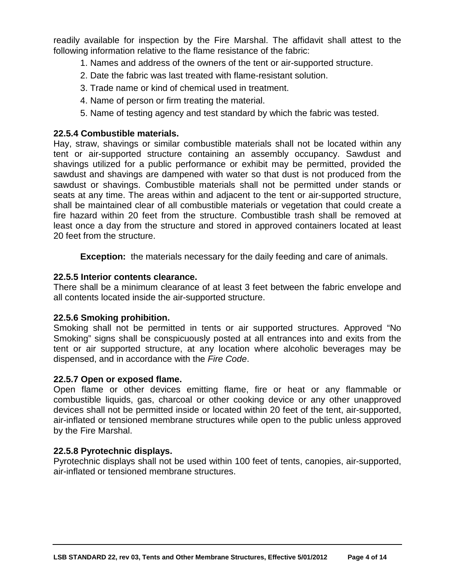readily available for inspection by the Fire Marshal. The affidavit shall attest to the following information relative to the flame resistance of the fabric:

- 1. Names and address of the owners of the tent or air-supported structure.
- 2. Date the fabric was last treated with flame-resistant solution.
- 3. Trade name or kind of chemical used in treatment.
- 4. Name of person or firm treating the material.
- 5. Name of testing agency and test standard by which the fabric was tested.

#### <span id="page-6-0"></span>**22.5.4 Combustible materials.**

Hay, straw, shavings or similar combustible materials shall not be located within any tent or air-supported structure containing an assembly occupancy. Sawdust and shavings utilized for a public performance or exhibit may be permitted, provided the sawdust and shavings are dampened with water so that dust is not produced from the sawdust or shavings. Combustible materials shall not be permitted under stands or seats at any time. The areas within and adjacent to the tent or air-supported structure, shall be maintained clear of all combustible materials or vegetation that could create a fire hazard within 20 feet from the structure. Combustible trash shall be removed at least once a day from the structure and stored in approved containers located at least 20 feet from the structure.

**Exception:** the materials necessary for the daily feeding and care of animals.

#### <span id="page-6-1"></span>**22.5.5 Interior contents clearance.**

There shall be a minimum clearance of at least 3 feet between the fabric envelope and all contents located inside the air-supported structure.

#### <span id="page-6-2"></span>**22.5.6 Smoking prohibition.**

Smoking shall not be permitted in tents or air supported structures. Approved "No Smoking" signs shall be conspicuously posted at all entrances into and exits from the tent or air supported structure, at any location where alcoholic beverages may be dispensed, and in accordance with the *Fire Code*.

#### <span id="page-6-3"></span>**22.5.7 Open or exposed flame.**

Open flame or other devices emitting flame, fire or heat or any flammable or combustible liquids, gas, charcoal or other cooking device or any other unapproved devices shall not be permitted inside or located within 20 feet of the tent, air-supported, air-inflated or tensioned membrane structures while open to the public unless approved by the Fire Marshal.

#### <span id="page-6-4"></span>**22.5.8 Pyrotechnic displays.**

Pyrotechnic displays shall not be used within 100 feet of tents, canopies, air-supported, air-inflated or tensioned membrane structures.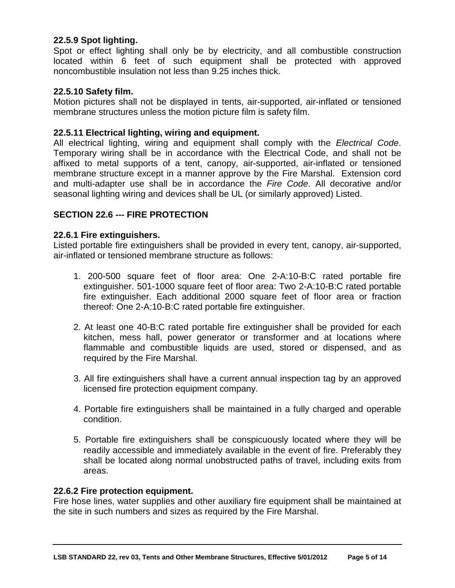#### <span id="page-7-0"></span>**22.5.9 Spot lighting.**

Spot or effect lighting shall only be by electricity, and all combustible construction located within 6 feet of such equipment shall be protected with approved noncombustible insulation not less than 9.25 inches thick.

#### <span id="page-7-1"></span>**22.5.10 Safety film.**

Motion pictures shall not be displayed in tents, air-supported, air-inflated or tensioned membrane structures unless the motion picture film is safety film.

#### <span id="page-7-2"></span>**22.5.11 Electrical lighting, wiring and equipment.**

All electrical lighting, wiring and equipment shall comply with the *Electrical Code*. Temporary wiring shall be in accordance with the Electrical Code, and shall not be affixed to metal supports of a tent, canopy, air-supported, air-inflated or tensioned membrane structure except in a manner approve by the Fire Marshal. Extension cord and multi-adapter use shall be in accordance the *Fire Code*. All decorative and/or seasonal lighting wiring and devices shall be UL (or similarly approved) Listed.

#### <span id="page-7-3"></span>**SECTION 22.6 --- FIRE PROTECTION**

#### <span id="page-7-4"></span>**22.6.1 Fire extinguishers.**

Listed portable fire extinguishers shall be provided in every tent, canopy, air-supported, air-inflated or tensioned membrane structure as follows:

- 1. 200-500 square feet of floor area: One 2-A:10-B:C rated portable fire extinguisher. 501-1000 square feet of floor area: Two 2-A:10-B:C rated portable fire extinguisher. Each additional 2000 square feet of floor area or fraction thereof: One 2-A:10-B:C rated portable fire extinguisher.
- 2. At least one 40-B:C rated portable fire extinguisher shall be provided for each kitchen, mess hall, power generator or transformer and at locations where flammable and combustible liquids are used, stored or dispensed, and as required by the Fire Marshal.
- 3. All fire extinguishers shall have a current annual inspection tag by an approved licensed fire protection equipment company.
- 4. Portable fire extinguishers shall be maintained in a fully charged and operable condition.
- 5. Portable fire extinguishers shall be conspicuously located where they will be readily accessible and immediately available in the event of fire. Preferably they shall be located along normal unobstructed paths of travel, including exits from areas.

#### <span id="page-7-5"></span>**22.6.2 Fire protection equipment.**

Fire hose lines, water supplies and other auxiliary fire equipment shall be maintained at the site in such numbers and sizes as required by the Fire Marshal.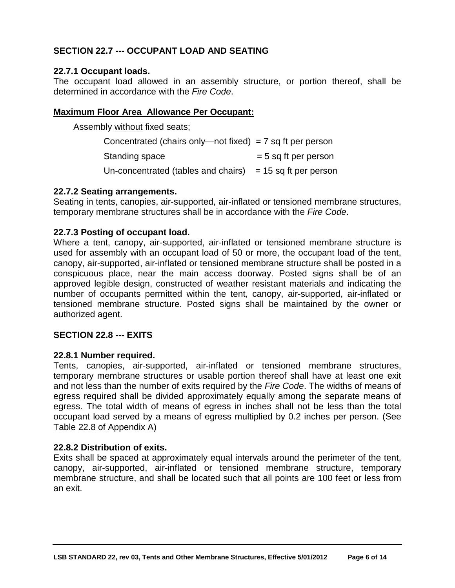#### <span id="page-8-0"></span>**SECTION 22.7 --- OCCUPANT LOAD AND SEATING**

#### <span id="page-8-1"></span>**22.7.1 Occupant loads.**

The occupant load allowed in an assembly structure, or portion thereof, shall be determined in accordance with the *Fire Code*.

#### **Maximum Floor Area Allowance Per Occupant:**

Assembly without fixed seats;

| Concentrated (chairs only—not fixed) = $7$ sq ft per person |                         |
|-------------------------------------------------------------|-------------------------|
| Standing space                                              | $= 5$ sq ft per person  |
| Un-concentrated (tables and chairs)                         | $= 15$ sq ft per person |

#### <span id="page-8-2"></span>**22.7.2 Seating arrangements.**

Seating in tents, canopies, air-supported, air-inflated or tensioned membrane structures, temporary membrane structures shall be in accordance with the *Fire Code*.

#### <span id="page-8-3"></span>**22.7.3 Posting of occupant load.**

Where a tent, canopy, air-supported, air-inflated or tensioned membrane structure is used for assembly with an occupant load of 50 or more, the occupant load of the tent, canopy, air-supported, air-inflated or tensioned membrane structure shall be posted in a conspicuous place, near the main access doorway. Posted signs shall be of an approved legible design, constructed of weather resistant materials and indicating the number of occupants permitted within the tent, canopy, air-supported, air-inflated or tensioned membrane structure. Posted signs shall be maintained by the owner or authorized agent.

#### <span id="page-8-4"></span>**SECTION 22.8 --- EXITS**

#### <span id="page-8-5"></span>**22.8.1 Number required.**

Tents, canopies, air-supported, air-inflated or tensioned membrane structures, temporary membrane structures or usable portion thereof shall have at least one exit and not less than the number of exits required by the *Fire Code*. The widths of means of egress required shall be divided approximately equally among the separate means of egress. The total width of means of egress in inches shall not be less than the total occupant load served by a means of egress multiplied by 0.2 inches per person. (See Table 22.8 of Appendix A)

#### <span id="page-8-6"></span>**22.8.2 Distribution of exits.**

Exits shall be spaced at approximately equal intervals around the perimeter of the tent, canopy, air-supported, air-inflated or tensioned membrane structure, temporary membrane structure, and shall be located such that all points are 100 feet or less from an exit.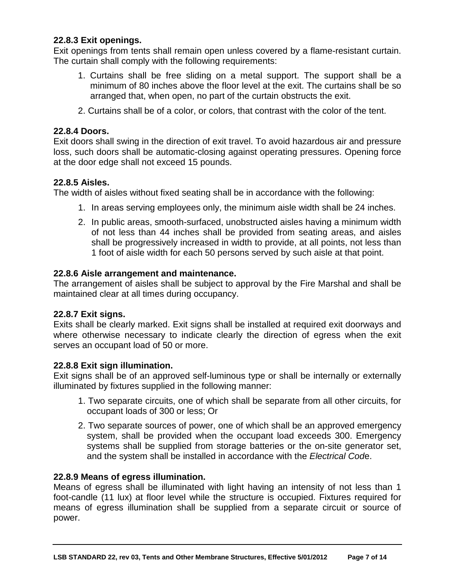#### <span id="page-9-0"></span>**22.8.3 Exit openings.**

Exit openings from tents shall remain open unless covered by a flame-resistant curtain. The curtain shall comply with the following requirements:

- 1. Curtains shall be free sliding on a metal support. The support shall be a minimum of 80 inches above the floor level at the exit. The curtains shall be so arranged that, when open, no part of the curtain obstructs the exit.
- 2. Curtains shall be of a color, or colors, that contrast with the color of the tent.

#### <span id="page-9-1"></span>**22.8.4 Doors.**

Exit doors shall swing in the direction of exit travel. To avoid hazardous air and pressure loss, such doors shall be automatic-closing against operating pressures. Opening force at the door edge shall not exceed 15 pounds.

#### <span id="page-9-2"></span>**22.8.5 Aisles.**

The width of aisles without fixed seating shall be in accordance with the following:

- 1. In areas serving employees only, the minimum aisle width shall be 24 inches.
- 2. In public areas, smooth-surfaced, unobstructed aisles having a minimum width of not less than 44 inches shall be provided from seating areas, and aisles shall be progressively increased in width to provide, at all points, not less than 1 foot of aisle width for each 50 persons served by such aisle at that point.

#### <span id="page-9-3"></span>**22.8.6 Aisle arrangement and maintenance.**

The arrangement of aisles shall be subject to approval by the Fire Marshal and shall be maintained clear at all times during occupancy.

#### <span id="page-9-4"></span>**22.8.7 Exit signs.**

Exits shall be clearly marked. Exit signs shall be installed at required exit doorways and where otherwise necessary to indicate clearly the direction of egress when the exit serves an occupant load of 50 or more.

#### <span id="page-9-5"></span>**22.8.8 Exit sign illumination.**

Exit signs shall be of an approved self-luminous type or shall be internally or externally illuminated by fixtures supplied in the following manner:

- 1. Two separate circuits, one of which shall be separate from all other circuits, for occupant loads of 300 or less; Or
- 2. Two separate sources of power, one of which shall be an approved emergency system, shall be provided when the occupant load exceeds 300. Emergency systems shall be supplied from storage batteries or the on-site generator set, and the system shall be installed in accordance with the *Electrical Cod*e.

#### <span id="page-9-6"></span>**22.8.9 Means of egress illumination.**

Means of egress shall be illuminated with light having an intensity of not less than 1 foot-candle (11 lux) at floor level while the structure is occupied. Fixtures required for means of egress illumination shall be supplied from a separate circuit or source of power.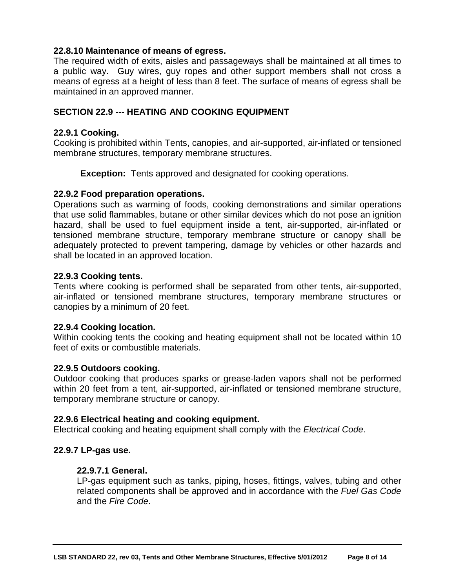#### <span id="page-10-0"></span>**22.8.10 Maintenance of means of egress.**

The required width of exits, aisles and passageways shall be maintained at all times to a public way. Guy wires, guy ropes and other support members shall not cross a means of egress at a height of less than 8 feet. The surface of means of egress shall be maintained in an approved manner.

#### <span id="page-10-1"></span>**SECTION 22.9 --- HEATING AND COOKING EQUIPMENT**

#### <span id="page-10-2"></span>**22.9.1 Cooking.**

Cooking is prohibited within Tents, canopies, and air-supported, air-inflated or tensioned membrane structures, temporary membrane structures.

**Exception:** Tents approved and designated for cooking operations.

#### <span id="page-10-3"></span>**22.9.2 Food preparation operations.**

Operations such as warming of foods, cooking demonstrations and similar operations that use solid flammables, butane or other similar devices which do not pose an ignition hazard, shall be used to fuel equipment inside a tent, air-supported, air-inflated or tensioned membrane structure, temporary membrane structure or canopy shall be adequately protected to prevent tampering, damage by vehicles or other hazards and shall be located in an approved location.

#### <span id="page-10-4"></span>**22.9.3 Cooking tents.**

Tents where cooking is performed shall be separated from other tents, air-supported, air-inflated or tensioned membrane structures, temporary membrane structures or canopies by a minimum of 20 feet.

#### <span id="page-10-5"></span>**22.9.4 Cooking location.**

Within cooking tents the cooking and heating equipment shall not be located within 10 feet of exits or combustible materials.

#### <span id="page-10-6"></span>**22.9.5 Outdoors cooking.**

Outdoor cooking that produces sparks or grease-laden vapors shall not be performed within 20 feet from a tent, air-supported, air-inflated or tensioned membrane structure, temporary membrane structure or canopy.

#### <span id="page-10-7"></span>**22.9.6 Electrical heating and cooking equipment.**

Electrical cooking and heating equipment shall comply with the *Electrical Code*.

#### <span id="page-10-9"></span><span id="page-10-8"></span>**22.9.7 LP-gas use.**

#### **22.9.7.1 General.**

LP-gas equipment such as tanks, piping, hoses, fittings, valves, tubing and other related components shall be approved and in accordance with the *Fuel Gas Code*  and the *Fire Code*.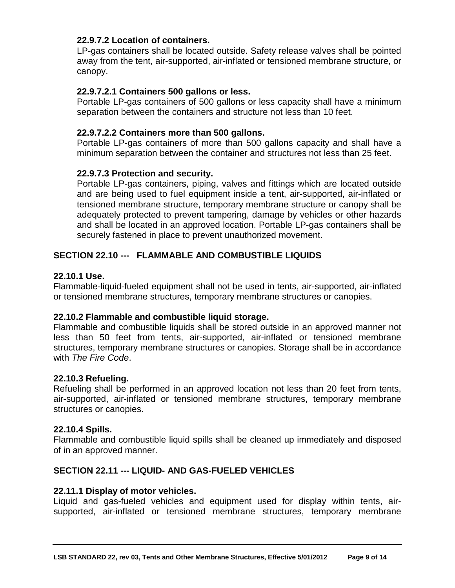#### <span id="page-11-0"></span>**22.9.7.2 Location of containers.**

LP-gas containers shall be located outside. Safety release valves shall be pointed away from the tent, air-supported, air-inflated or tensioned membrane structure, or canopy.

#### <span id="page-11-1"></span>**22.9.7.2.1 Containers 500 gallons or less.**

Portable LP-gas containers of 500 gallons or less capacity shall have a minimum separation between the containers and structure not less than 10 feet.

#### <span id="page-11-2"></span>**22.9.7.2.2 Containers more than 500 gallons.**

Portable LP-gas containers of more than 500 gallons capacity and shall have a minimum separation between the container and structures not less than 25 feet.

#### <span id="page-11-3"></span>**22.9.7.3 Protection and security.**

Portable LP-gas containers, piping, valves and fittings which are located outside and are being used to fuel equipment inside a tent, air-supported, air-inflated or tensioned membrane structure, temporary membrane structure or canopy shall be adequately protected to prevent tampering, damage by vehicles or other hazards and shall be located in an approved location. Portable LP-gas containers shall be securely fastened in place to prevent unauthorized movement.

#### <span id="page-11-4"></span>**SECTION 22.10 --- FLAMMABLE AND COMBUSTIBLE LIQUIDS**

#### <span id="page-11-5"></span>**22.10.1 Use.**

Flammable-liquid-fueled equipment shall not be used in tents, air-supported, air-inflated or tensioned membrane structures, temporary membrane structures or canopies.

#### <span id="page-11-6"></span>**22.10.2 Flammable and combustible liquid storage.**

Flammable and combustible liquids shall be stored outside in an approved manner not less than 50 feet from tents, air-supported, air-inflated or tensioned membrane structures, temporary membrane structures or canopies. Storage shall be in accordance with *The Fire Code*.

#### <span id="page-11-7"></span>**22.10.3 Refueling.**

Refueling shall be performed in an approved location not less than 20 feet from tents, air**-**supported, air-inflated or tensioned membrane structures, temporary membrane structures or canopies.

#### <span id="page-11-8"></span>**22.10.4 Spills.**

Flammable and combustible liquid spills shall be cleaned up immediately and disposed of in an approved manner.

#### <span id="page-11-9"></span>**SECTION 22.11 --- LIQUID- AND GAS-FUELED VEHICLES**

#### <span id="page-11-10"></span>**22.11.1 Display of motor vehicles.**

Liquid and gas-fueled vehicles and equipment used for display within tents, airsupported, air-inflated or tensioned membrane structures, temporary membrane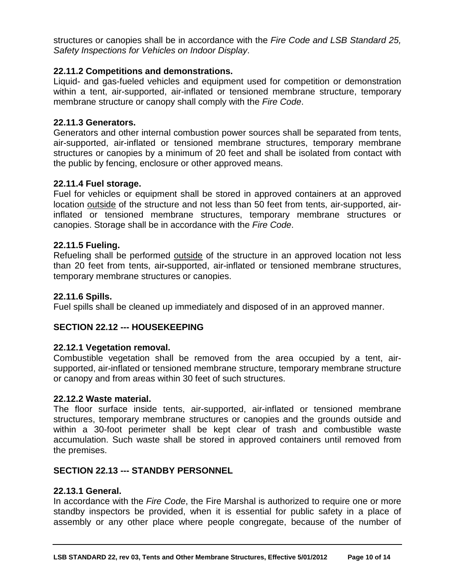structures or canopies shall be in accordance with the *Fire Code and LSB Standard 25, Safety Inspections for Vehicles on Indoor Display*.

#### <span id="page-12-0"></span>**22.11.2 Competitions and demonstrations.**

Liquid- and gas-fueled vehicles and equipment used for competition or demonstration within a tent, air-supported, air-inflated or tensioned membrane structure, temporary membrane structure or canopy shall comply with the *Fire Code*.

#### <span id="page-12-1"></span>**22.11.3 Generators.**

Generators and other internal combustion power sources shall be separated from tents, air-supported, air-inflated or tensioned membrane structures, temporary membrane structures or canopies by a minimum of 20 feet and shall be isolated from contact with the public by fencing, enclosure or other approved means.

#### <span id="page-12-2"></span>**22.11.4 Fuel storage.**

Fuel for vehicles or equipment shall be stored in approved containers at an approved location outside of the structure and not less than 50 feet from tents, air-supported, airinflated or tensioned membrane structures, temporary membrane structures or canopies. Storage shall be in accordance with the *Fire Code*.

#### <span id="page-12-3"></span>**22.11.5 Fueling.**

Refueling shall be performed outside of the structure in an approved location not less than 20 feet from tents, air**-**supported, air-inflated or tensioned membrane structures, temporary membrane structures or canopies.

#### <span id="page-12-4"></span>**22.11.6 Spills.**

Fuel spills shall be cleaned up immediately and disposed of in an approved manner.

#### <span id="page-12-5"></span>**SECTION 22.12 --- HOUSEKEEPING**

#### <span id="page-12-6"></span>**22.12.1 Vegetation removal.**

Combustible vegetation shall be removed from the area occupied by a tent, airsupported, air-inflated or tensioned membrane structure, temporary membrane structure or canopy and from areas within 30 feet of such structures.

#### <span id="page-12-7"></span>**22.12.2 Waste material.**

The floor surface inside tents, air-supported, air-inflated or tensioned membrane structures, temporary membrane structures or canopies and the grounds outside and within a 30-foot perimeter shall be kept clear of trash and combustible waste accumulation. Such waste shall be stored in approved containers until removed from the premises.

#### <span id="page-12-8"></span>**SECTION 22.13 --- STANDBY PERSONNEL**

#### <span id="page-12-9"></span>**22.13.1 General.**

In accordance with the *Fire Code*, the Fire Marshal is authorized to require one or more standby inspectors be provided, when it is essential for public safety in a place of assembly or any other place where people congregate, because of the number of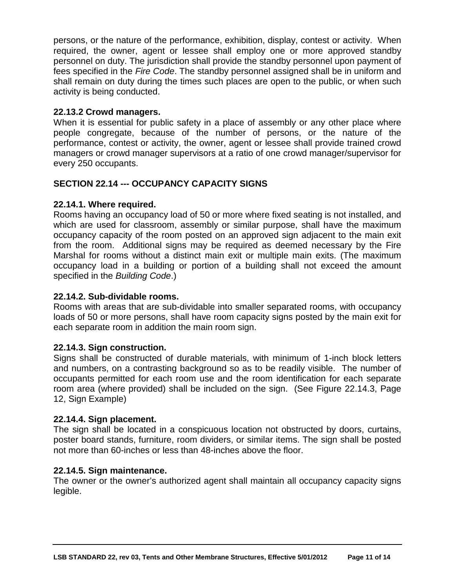persons, or the nature of the performance, exhibition, display, contest or activity. When required, the owner, agent or lessee shall employ one or more approved standby personnel on duty. The jurisdiction shall provide the standby personnel upon payment of fees specified in the *Fire Code*. The standby personnel assigned shall be in uniform and shall remain on duty during the times such places are open to the public, or when such activity is being conducted.

#### <span id="page-13-0"></span>**22.13.2 Crowd managers.**

When it is essential for public safety in a place of assembly or any other place where people congregate, because of the number of persons, or the nature of the performance, contest or activity, the owner, agent or lessee shall provide trained crowd managers or crowd manager supervisors at a ratio of one crowd manager/supervisor for every 250 occupants.

#### <span id="page-13-1"></span>**SECTION 22.14 --- OCCUPANCY CAPACITY SIGNS**

#### <span id="page-13-2"></span>**22.14.1. Where required.**

Rooms having an occupancy load of 50 or more where fixed seating is not installed, and which are used for classroom, assembly or similar purpose, shall have the maximum occupancy capacity of the room posted on an approved sign adjacent to the main exit from the room. Additional signs may be required as deemed necessary by the Fire Marshal for rooms without a distinct main exit or multiple main exits. (The maximum occupancy load in a building or portion of a building shall not exceed the amount specified in the *Building Code*.)

#### <span id="page-13-3"></span>**22.14.2. Sub-dividable rooms.**

Rooms with areas that are sub-dividable into smaller separated rooms, with occupancy loads of 50 or more persons, shall have room capacity signs posted by the main exit for each separate room in addition the main room sign.

#### <span id="page-13-4"></span>**22.14.3. Sign construction.**

Signs shall be constructed of durable materials, with minimum of 1-inch block letters and numbers, on a contrasting background so as to be readily visible. The number of occupants permitted for each room use and the room identification for each separate room area (where provided) shall be included on the sign. (See Figure 22.14.3, Page 12, Sign Example)

#### <span id="page-13-5"></span>**22.14.4. Sign placement.**

The sign shall be located in a conspicuous location not obstructed by doors, curtains, poster board stands, furniture, room dividers, or similar items. The sign shall be posted not more than 60-inches or less than 48-inches above the floor.

#### <span id="page-13-6"></span>**22.14.5. Sign maintenance.**

The owner or the owner's authorized agent shall maintain all occupancy capacity signs legible.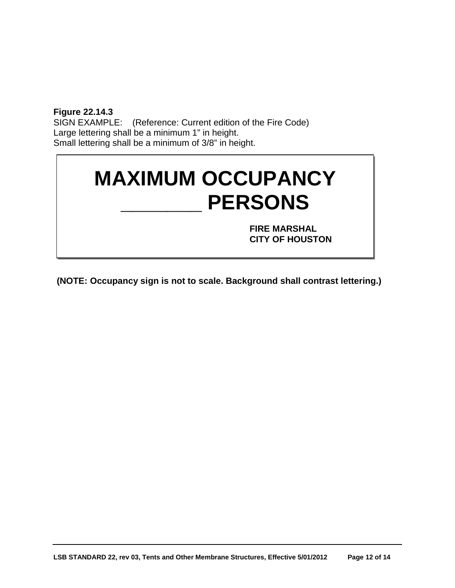**Figure 22.14.3** SIGN EXAMPLE: (Reference: Current edition of the Fire Code) Large lettering shall be a minimum 1" in height. Small lettering shall be a minimum of 3/8" in height.

# **MAXIMUM OCCUPANCY \_\_\_\_\_\_\_ PERSONS**

**FIRE MARSHAL CITY OF HOUSTON** 

**(NOTE: Occupancy sign is not to scale. Background shall contrast lettering.)**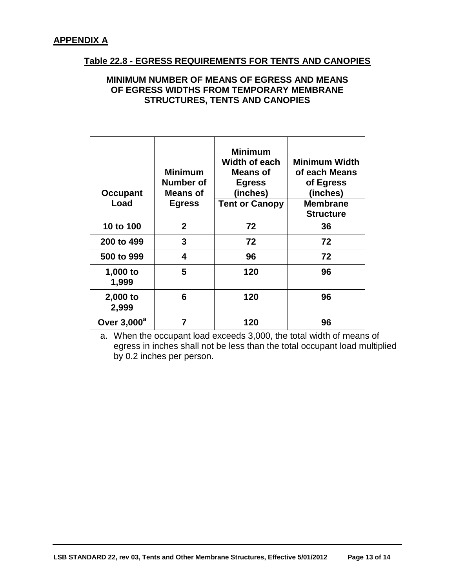#### **Table 22.8 - EGRESS REQUIREMENTS FOR TENTS AND CANOPIES**

#### **MINIMUM NUMBER OF MEANS OF EGRESS AND MEANS OF EGRESS WIDTHS FROM TEMPORARY MEMBRANE STRUCTURES, TENTS AND CANOPIES**

| <b>Occupant</b><br>Load | <b>Minimum</b><br>Number of<br>Means of<br><b>Egress</b> | <b>Minimum</b><br><b>Width of each</b><br>Means of<br><b>Egress</b><br>(inches)<br><b>Tent or Canopy</b> | <b>Minimum Width</b><br>of each Means<br>of Egress<br>(inches)<br><b>Membrane</b><br><b>Structure</b> |
|-------------------------|----------------------------------------------------------|----------------------------------------------------------------------------------------------------------|-------------------------------------------------------------------------------------------------------|
| 10 to 100               | $\mathbf{2}$                                             | 72                                                                                                       | 36                                                                                                    |
| 200 to 499              | 3                                                        | 72                                                                                                       | 72                                                                                                    |
| 500 to 999              | 4                                                        | 96                                                                                                       | 72                                                                                                    |
| 1,000 to<br>1,999       | 5                                                        | 120                                                                                                      | 96                                                                                                    |
| 2,000 to<br>2,999       | 6                                                        | 120                                                                                                      | 96                                                                                                    |
| Over 3,000 <sup>a</sup> |                                                          | 120                                                                                                      | 96                                                                                                    |

a. When the occupant load exceeds 3,000, the total width of means of egress in inches shall not be less than the total occupant load multiplied by 0.2 inches per person.